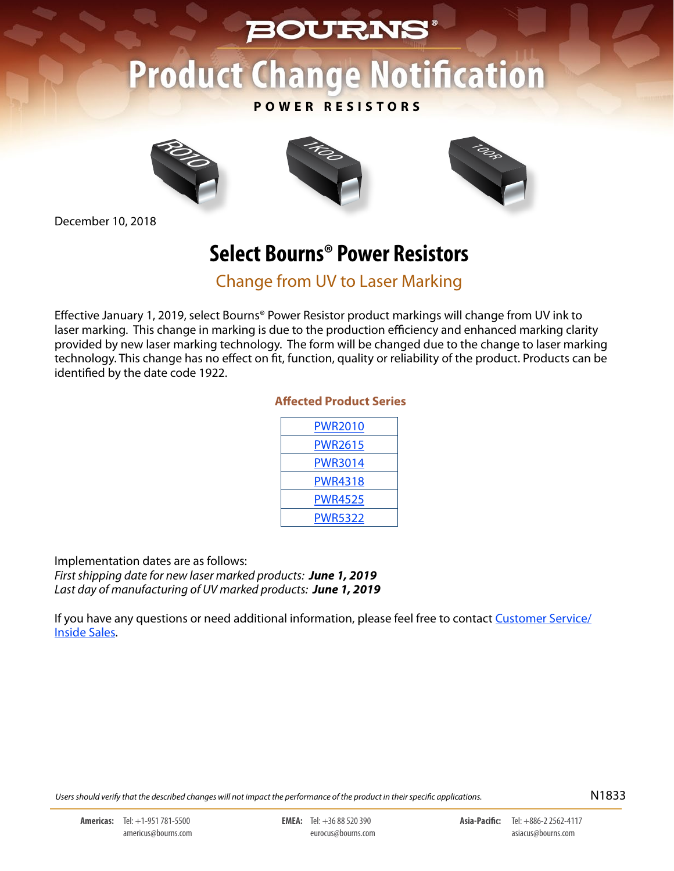# **BOURNS®**

# **Product Change Notification**

#### **POWER RESISTORS**



December 10, 2018





# **Select Bourns® Power Resistors**

Change from UV to Laser Marking

Effective January 1, 2019, select Bourns® Power Resistor product markings will change from UV ink to laser marking. This change in marking is due to the production efficiency and enhanced marking clarity provided by new laser marking technology. The form will be changed due to the change to laser marking technology. This change has no effect on fit, function, quality or reliability of the product. Products can be identified by the date code 1922.

#### **Affected Product Series**

| <b>PWR2010</b> |  |
|----------------|--|
| <b>PWR2615</b> |  |
| <b>PWR3014</b> |  |
| PWR4318        |  |
| <b>PWR4525</b> |  |
| PWR5322        |  |

Implementation dates are as follows:

*First shipping date for new laser marked products: June 1, 2019 Last day of manufacturing of UV marked products: June 1, 2019*

If you have any questions or need additional information, please feel free to contact [Customer Service/](http://www.bourns.com/support/contact) [Inside Sales.](http://www.bourns.com/support/contact)

*Users should verify that the described changes will not impact the performance of the product in their specific applications.* N1833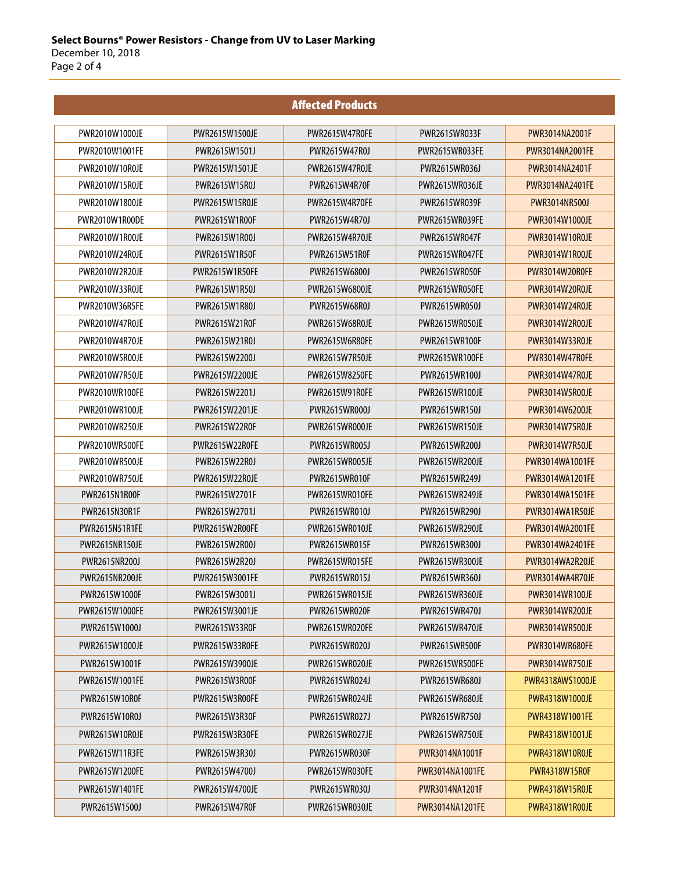|                       |                       | <b>Affected Products</b> |                        |                        |
|-----------------------|-----------------------|--------------------------|------------------------|------------------------|
| PWR2010W1000JE        | PWR2615W1500JE        | PWR2615W47R0FE           | PWR2615WR033F          | PWR3014NA2001F         |
| PWR2010W1001FE        | PWR2615W1501J         | PWR2615W47R0J            | <b>PWR2615WR033FE</b>  | <b>PWR3014NA2001FE</b> |
| PWR2010W10R0JE        | PWR2615W1501JE        | PWR2615W47R0JE           | PWR2615WR036J          | PWR3014NA2401F         |
| <b>PWR2010W15R0JE</b> | PWR2615W15R0J         | <b>PWR2615W4R70F</b>     | <b>PWR2615WR036JE</b>  | <b>PWR3014NA2401FE</b> |
| PWR2010W1800JE        | <b>PWR2615W15R0JE</b> | PWR2615W4R70FE           | PWR2615WR039F          | <b>PWR3014NR500J</b>   |
| PWR2010W1R00DE        | <b>PWR2615W1R00F</b>  | PWR2615W4R70J            | PWR2615WR039FE         | PWR3014W1000JE         |
| PWR2010W1R00JE        | PWR2615W1R00J         | <b>PWR2615W4R70JE</b>    | PWR2615WR047F          | <b>PWR3014W10R0JE</b>  |
| PWR2010W24R0JE        | PWR2615W1R50F         | <b>PWR2615W51R0F</b>     | PWR2615WR047FE         | <b>PWR3014W1R00JE</b>  |
| PWR2010W2R20JE        | <b>PWR2615W1R50FE</b> | PWR2615W6800J            | <b>PWR2615WR050F</b>   | PWR3014W20R0FE         |
| PWR2010W33R0JE        | PWR2615W1R50J         | PWR2615W6800JE           | PWR2615WR050FE         | <b>PWR3014W20R0JE</b>  |
| <b>PWR2010W36R5FE</b> | PWR2615W1R80J         | PWR2615W68R0J            | PWR2615WR050J          | <b>PWR3014W24R0JE</b>  |
| PWR2010W47R0JE        | PWR2615W21R0F         | PWR2615W68R0JE           | PWR2615WR050JE         | <b>PWR3014W2R00JE</b>  |
| <b>PWR2010W4R70JE</b> | PWR2615W21R0J         | PWR2615W6R80FE           | <b>PWR2615WR100F</b>   | <b>PWR3014W33R0JE</b>  |
| PWR2010W5R00JE        | PWR2615W2200J         | PWR2615W7R50JF           | <b>PWR2615WR100FE</b>  | PWR3014W47R0FE         |
| <b>PWR2010W7R50JE</b> | PWR2615W2200JE        | PWR2615W8250FE           | PWR2615WR100J          | <b>PWR3014W47R0JE</b>  |
| PWR2010WR100FE        | PWR2615W2201J         | PWR2615W91R0FE           | PWR2615WR100JF         | PWR3014W5R00JE         |
| PWR2010WR100JF        | PWR2615W2201JE        | PWR2615WR000J            | PWR2615WR150J          | PWR3014W6200JE         |
| <b>PWR2010WR250JE</b> | PWR2615W22R0F         | PWR2615WR000JE           | <b>PWR2615WR150JE</b>  | <b>PWR3014W75R0JE</b>  |
| <b>PWR2010WR500FE</b> | <b>PWR2615W22R0FE</b> | PWR2615WR005J            | PWR2615WR200J          | <b>PWR3014W7R50JE</b>  |
| PWR2010WR500JE        | PWR2615W22R0J         | PWR2615WR005JE           | <b>PWR2615WR200JE</b>  | PWR3014WA1001FE        |
| <b>PWR2010WR750JE</b> | PWR2615W22R0JE        | <b>PWR2615WR010F</b>     | PWR2615WR249J          | PWR3014WA1201FE        |
| PWR2615N1R00F         | PWR2615W2701F         | PWR2615WR010FE           | <b>PWR2615WR249JE</b>  | <b>PWR3014WA1501FE</b> |
| PWR2615N30R1F         | PWR2615W2701J         | PWR2615WR010J            | PWR2615WR290J          | PWR3014WA1R50JE        |
| <b>PWR2615N51R1FE</b> | PWR2615W2R00FE        | PWR2615WR010JE           | <b>PWR2615WR290JE</b>  | PWR3014WA2001FE        |
| <b>PWR2615NR150JE</b> | PWR2615W2R00J         | <b>PWR2615WR015F</b>     | PWR2615WR300J          | PWR3014WA2401FE        |
| PWR2615NR200J         | PWR2615W2R20J         | PWR2615WR015FE           | <b>PWR2615WR300JE</b>  | PWR3014WA2R20JE        |
| <b>PWR2615NR200JE</b> | PWR2615W3001FE        | <b>PWR2615WR015J</b>     | PWR2615WR360J          | PWR3014WA4R70JE        |
| PWR2615W1000F         | PWR2615W3001J         | PWR2615WR015JE           | PWR2615WR360JE         | <b>PWR3014WR100JE</b>  |
| PWR2615W1000FE        | PWR2615W3001JE        | <b>PWR2615WR020F</b>     | PWR2615WR470J          | <b>PWR3014WR200JE</b>  |
| PWR2615W1000J         | PWR2615W33R0F         | PWR2615WR020FE           | PWR2615WR470JE         | <b>PWR3014WR500JE</b>  |
| PWR2615W1000JE        | PWR2615W33R0FE        | PWR2615WR020J            | PWR2615WR500F          | <b>PWR3014WR680FE</b>  |
| PWR2615W1001F         | PWR2615W3900JE        | PWR2615WR020JE           | PWR2615WR500FE         | <b>PWR3014WR750JE</b>  |
| PWR2615W1001FE        | PWR2615W3R00F         | PWR2615WR024J            | PWR2615WR680J          | PWR4318AWS1000JE       |
| PWR2615W10R0F         | PWR2615W3R00FE        | PWR2615WR024JE           | <b>PWR2615WR680JE</b>  | PWR4318W1000JE         |
| PWR2615W10R0J         | PWR2615W3R30F         | PWR2615WR027J            | PWR2615WR750J          | PWR4318W1001FE         |
| PWR2615W10R0JE        | PWR2615W3R30FE        | PWR2615WR027JE           | <b>PWR2615WR750JE</b>  | PWR4318W1001JE         |
| <b>PWR2615W11R3FE</b> | PWR2615W3R30J         | <b>PWR2615WR030F</b>     | PWR3014NA1001F         | <b>PWR4318W10R0JE</b>  |
| <b>PWR2615W1200FE</b> | PWR2615W4700J         | PWR2615WR030FE           | <b>PWR3014NA1001FE</b> | <b>PWR4318W15R0F</b>   |
| PWR2615W1401FE        | PWR2615W4700JE        | PWR2615WR030J            | PWR3014NA1201F         | <b>PWR4318W15R0JE</b>  |
| PWR2615W1500J         | PWR2615W47R0F         | PWR2615WR030JE           | <b>PWR3014NA1201FE</b> | <b>PWR4318W1R00JE</b>  |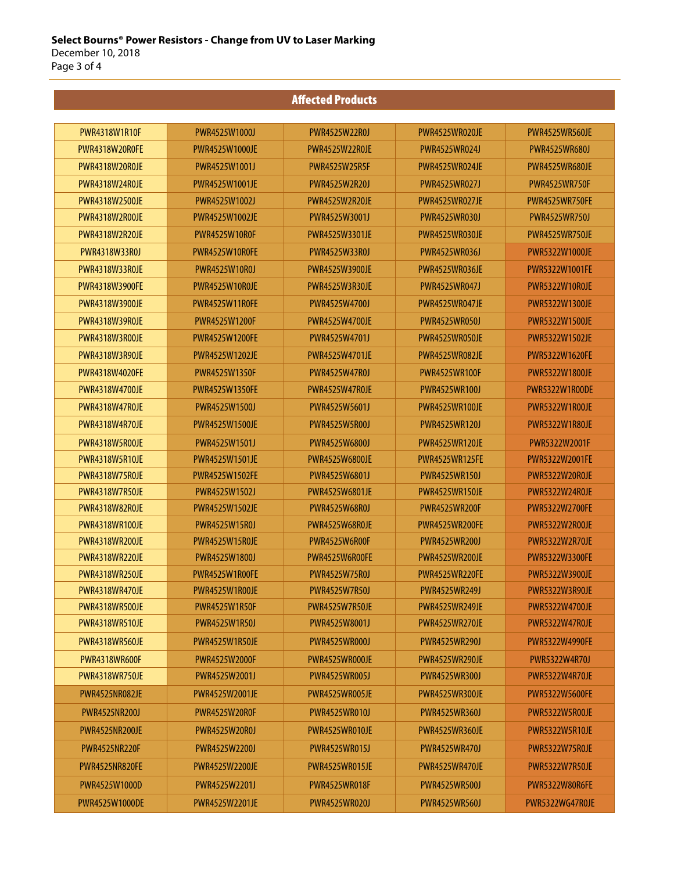## Affected Products

| <b>PWR4318W1R10F</b>  | PWR4525W1000J         | PWR4525W22R0J         | PWR4525WR020JF        | <b>PWR4525WR560JE</b> |
|-----------------------|-----------------------|-----------------------|-----------------------|-----------------------|
| <b>PWR4318W20R0FE</b> | <b>PWR4525W1000JE</b> | PWR4525W22ROJE        | PWR4525WR024J         | <b>PWR4525WR680J</b>  |
| PWR4318W20R0JE        | PWR4525W1001J         | <b>PWR4525W25R5F</b>  | PWR4525WR024JE        | PWR4525WR680JE        |
| <b>PWR4318W24R0JF</b> | PWR4525W1001JE        | PWR4525W2R20J         | <b>PWR4525WR027J</b>  | <b>PWR4525WR750F</b>  |
| PWR4318W2500JE        | PWR4525W1002J         | <b>PWR4525W2R20JE</b> | PWR4525WR027JE        | PWR4525WR750FE        |
| PWR4318W2R00JE        | <b>PWR4525W1002JE</b> | PWR4525W3001J         | PWR4525WR030J         | PWR4525WR750J         |
| <b>PWR4318W2R20JE</b> | PWR4525W10R0F         | PWR4525W3301JE        | PWR4525WR030JE        | PWR4525WR750JE        |
| PWR4318W33R0J         | PWR4525W10R0FE        | PWR4525W33R0J         | PWR4525WR0361         | PWR5322W1000JF        |
| PWR4318W33R0JE        | <b>PWR4525W10R0J</b>  | <b>PWR4525W3900JE</b> | PWR4525WR036JE        | <b>PWR5322W1001FE</b> |
| PWR4318W3900FE        | PWR4525W10R0JE        | PWR4525W3R30JE        | <b>PWR4525WR047J</b>  | <b>PWR5322W10ROJE</b> |
| PWR4318W3900JE        | PWR4525W11R0FE        | <b>PWR4525W4700J</b>  | PWR4525WR047JE        | <b>PWR5322W1300JE</b> |
| PWR4318W39R0JE        | <b>PWR4525W1200F</b>  | <b>PWR4525W4700JE</b> | PWR4525WR050J         | <b>PWR5322W1500JE</b> |
| <b>PWR4318W3R00JE</b> | <b>PWR4525W1200FE</b> | PWR4525W4701J         | PWR4525WR050JF        | <b>PWR5322W1502JE</b> |
| <b>PWR4318W3R90JE</b> | <b>PWR4525W1202JE</b> | <b>PWR4525W4701JE</b> | <b>PWR4525WR082JF</b> | <b>PWR5322W1620FE</b> |
| <b>PWR4318W4020FE</b> | <b>PWR4525W1350F</b>  | PWR4525W47R0J         | <b>PWR4525WR100F</b>  | <b>PWR5322W1800JE</b> |
| PWR4318W4700JF        | <b>PWR4525W1350FE</b> | PWR4525W47R0JF        | PWR4525WR1001         | <b>PWR5322W1R00DE</b> |
| PWR4318W47R0JF        | PWR4525W1500J         | PWR4525W5601J         | PWR4525WR100JE        | <b>PWR5322W1R00JE</b> |
| <b>PWR4318W4R70JE</b> | <b>PWR4525W1500JE</b> | PWR4525W5R00J         | PWR4525WR120J         | <b>PWR5322W1R80JE</b> |
| <b>PWR4318W5R00JE</b> | PWR4525W1501J         | PWR4525W6800J         | <b>PWR4525WR120JE</b> | PWR5322W2001F         |
| <b>PWR4318W5R10JE</b> | <b>PWR4525W1501JE</b> | <b>PWR4525W6800JE</b> | <b>PWR4525WR125FE</b> | <b>PWR5322W2001FE</b> |
| <b>PWR4318W75R0JE</b> | <b>PWR4525W1502FE</b> | PWR4525W6801J         | <b>PWR4525WR150J</b>  | <b>PWR5322W20R0JE</b> |
| <b>PWR4318W7R50JE</b> | PWR4525W1502J         | PWR4525W6801JE        | <b>PWR4525WR150JE</b> | <b>PWR5322W24R0JE</b> |
| <b>PWR4318W82R0JE</b> | <b>PWR4525W1502JE</b> | PWR4525W68R0J         | <b>PWR4525WR200F</b>  | <b>PWR5322W2700FE</b> |
| <b>PWR4318WR100JE</b> | PWR4525W15R0J         | PWR4525W68ROJE        | <b>PWR4525WR200FE</b> | <b>PWR5322W2R00JE</b> |
| <b>PWR4318WR200JE</b> | PWR4525W15R0JE        | <b>PWR4525W6R00F</b>  | <b>PWR4525WR200J</b>  | <b>PWR5322W2R70JE</b> |
| <b>PWR4318WR220JE</b> | PWR4525W1800J         | PWR4525W6R00FE        | <b>PWR4525WR200JE</b> | <b>PWR5322W3300FE</b> |
| <b>PWR4318WR250JE</b> | PWR4525W1R00FE        | <b>PWR4525W75R0J</b>  | <b>PWR4525WR220FE</b> | <b>PWR5322W3900JE</b> |
| PWR4318WR470JE        | PWR4525W1R00JE        | PWR4525W7R50J         | PWR4525WR2491         | <b>PWR5322W3R90JE</b> |
| <b>PWR4318WR500JE</b> | <b>PWR4525W1R50F</b>  | PWR4525W7R50JE        | <b>PWR4525WR249JE</b> | PWR5322W4700JE        |
| <b>PWR4318WR510JE</b> | <b>PWR4525W1R50J</b>  | PWR4525W8001J         | <b>PWR4525WR270JE</b> | <b>PWR5322W47R0JE</b> |
| <b>PWR4318WR560JE</b> | <b>PWR4525W1R50JE</b> | <b>PWR4525WR000J</b>  | <b>PWR4525WR290J</b>  | <b>PWR5322W4990FE</b> |
| <b>PWR4318WR600F</b>  | <b>PWR4525W2000F</b>  | PWR4525WR000JE        | <b>PWR4525WR290JE</b> | <b>PWR5322W4R70J</b>  |
| <b>PWR4318WR750JE</b> | PWR4525W2001J         | PWR4525WR005J         | PWR4525WR300J         | PWR5322W4R70JE        |
| PWR4525NR082JE        | PWR4525W2001JE        | PWR4525WR005JE        | <b>PWR4525WR300JE</b> | <b>PWR5322W5600FE</b> |
| <b>PWR4525NR200J</b>  | <b>PWR4525W20R0F</b>  | <b>PWR4525WR010J</b>  | <b>PWR4525WR360J</b>  | <b>PWR5322W5R00JE</b> |
| PWR4525NR200JE        | PWR4525W20R0J         | PWR4525WR010JE        | <b>PWR4525WR360JE</b> | PWR5322W5R10JE        |
| PWR4525NR220F         | PWR4525W2200J         | PWR4525WR015J         | <b>PWR4525WR470J</b>  | PWR5322W75R0JE        |
| PWR4525NR820FE        | <b>PWR4525W2200JE</b> | <b>PWR4525WR015JE</b> | PWR4525WR470JE        | <b>PWR5322W7R50JE</b> |
| PWR4525W1000D         | PWR4525W2201J         | PWR4525WR018F         | <b>PWR4525WR500J</b>  | <b>PWR5322W80R6FE</b> |
| PWR4525W1000DE        | PWR4525W2201JE        | <b>PWR4525WR020J</b>  | <b>PWR4525WR560J</b>  | PWR5322WG47R0JE       |